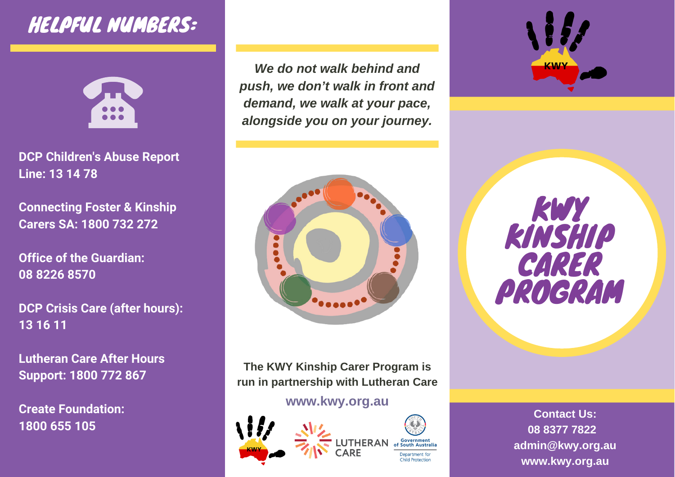# HELPFUL NUMBERS:



**DCP Children's Abuse Report Line: 13 14 78**

**Connecting Foster & Kinship Carers SA: 1800 732 272**

**Office of the Guardian: 08 8226 8570**

**DCP Crisis Care (after hours): 13 16 11**

**Lutheran Care After Hours Support: 1800 772 867**

**Create Foundation: 1800 655 105**

*We do not walk behind and push, we don't walk in front and demand, we walk at your pace, alongside you on your journey.*



**The KWY Kinship Carer Program is run in partnership with Lutheran Care**

**www.kwy.org.au**





KWY

KINSHIP

CARER

PROGRAM

**Contact Us: 08 8377 7822 admin@kwy.org.au www.kwy.org.au**